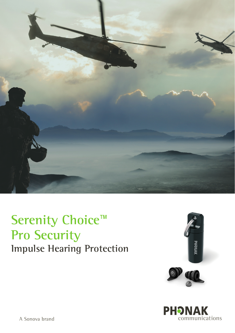

# **Serenity Choice**™ **Pro Security Impulse Hearing Protection**